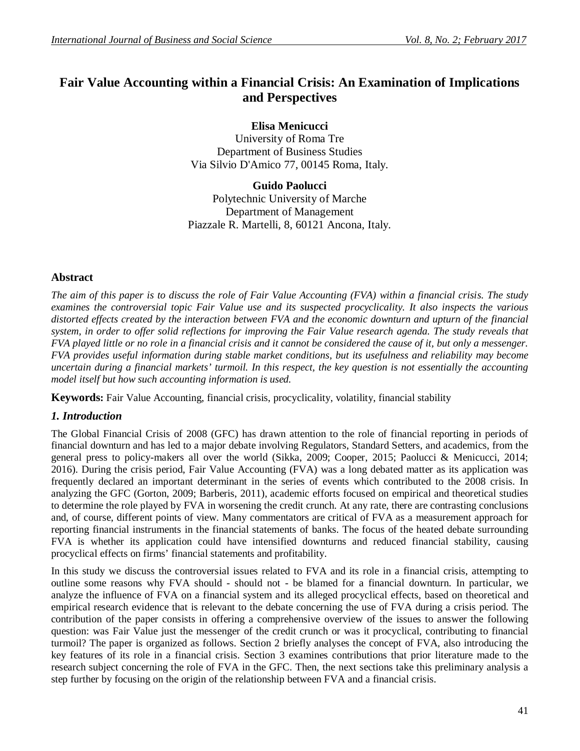# **Fair Value Accounting within a Financial Crisis: An Examination of Implications and Perspectives**

**Elisa Menicucci**

University of Roma Tre Department of Business Studies Via Silvio D'Amico 77, 00145 Roma, Italy.

**Guido Paolucci** Polytechnic University of Marche Department of Management Piazzale R. Martelli, 8, 60121 Ancona, Italy.

## **Abstract**

*The aim of this paper is to discuss the role of Fair Value Accounting (FVA) within a financial crisis. The study examines the controversial topic Fair Value use and its suspected procyclicality. It also inspects the various distorted effects created by the interaction between FVA and the economic downturn and upturn of the financial system, in order to offer solid reflections for improving the Fair Value research agenda. The study reveals that FVA played little or no role in a financial crisis and it cannot be considered the cause of it, but only a messenger. FVA provides useful information during stable market conditions, but its usefulness and reliability may become uncertain during a financial markets' turmoil. In this respect, the key question is not essentially the accounting model itself but how such accounting information is used.*

**Keywords:** Fair Value Accounting, financial crisis, procyclicality, volatility, financial stability

#### *1. Introduction*

The Global Financial Crisis of 2008 (GFC) has drawn attention to the role of financial reporting in periods of financial downturn and has led to a major debate involving Regulators, Standard Setters, and academics, from the general press to policy-makers all over the world (Sikka, 2009; Cooper, 2015; Paolucci & Menicucci, 2014; 2016). During the crisis period, Fair Value Accounting (FVA) was a long debated matter as its application was frequently declared an important determinant in the series of events which contributed to the 2008 crisis. In analyzing the GFC (Gorton, 2009; Barberis, 2011), academic efforts focused on empirical and theoretical studies to determine the role played by FVA in worsening the credit crunch. At any rate, there are contrasting conclusions and, of course, different points of view. Many commentators are critical of FVA as a measurement approach for reporting financial instruments in the financial statements of banks. The focus of the heated debate surrounding FVA is whether its application could have intensified downturns and reduced financial stability, causing procyclical effects on firms' financial statements and profitability.

In this study we discuss the controversial issues related to FVA and its role in a financial crisis, attempting to outline some reasons why FVA should - should not - be blamed for a financial downturn. In particular, we analyze the influence of FVA on a financial system and its alleged procyclical effects, based on theoretical and empirical research evidence that is relevant to the debate concerning the use of FVA during a crisis period. The contribution of the paper consists in offering a comprehensive overview of the issues to answer the following question: was Fair Value just the messenger of the credit crunch or was it procyclical, contributing to financial turmoil? The paper is organized as follows. Section 2 briefly analyses the concept of FVA, also introducing the key features of its role in a financial crisis. Section 3 examines contributions that prior literature made to the research subject concerning the role of FVA in the GFC. Then, the next sections take this preliminary analysis a step further by focusing on the origin of the relationship between FVA and a financial crisis.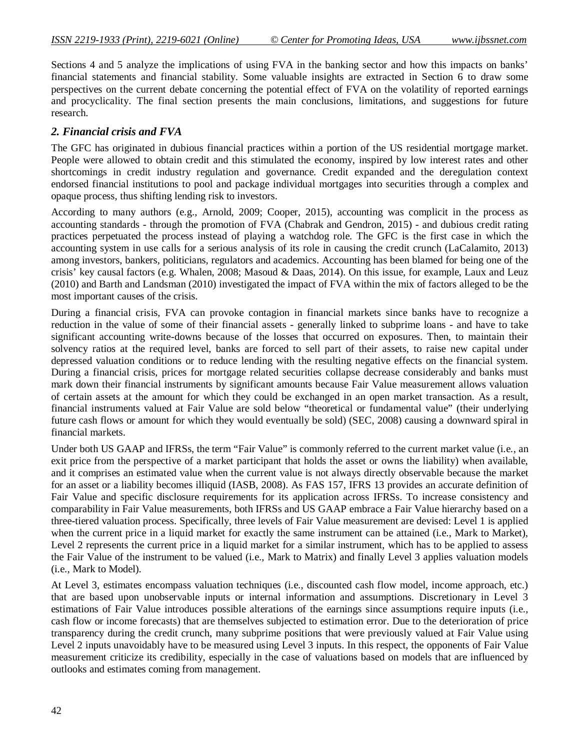Sections 4 and 5 analyze the implications of using FVA in the banking sector and how this impacts on banks' financial statements and financial stability. Some valuable insights are extracted in Section 6 to draw some perspectives on the current debate concerning the potential effect of FVA on the volatility of reported earnings and procyclicality. The final section presents the main conclusions, limitations, and suggestions for future research.

#### *2. Financial crisis and FVA*

The GFC has originated in dubious financial practices within a portion of the US residential mortgage market. People were allowed to obtain credit and this stimulated the economy, inspired by low interest rates and other shortcomings in credit industry regulation and governance. Credit expanded and the deregulation context endorsed financial institutions to pool and package individual mortgages into securities through a complex and opaque process, thus shifting lending risk to investors.

According to many authors (e.g., Arnold, 2009; Cooper, 2015), accounting was complicit in the process as accounting standards - through the promotion of FVA (Chabrak and Gendron, 2015) - and dubious credit rating practices perpetuated the process instead of playing a watchdog role. The GFC is the first case in which the accounting system in use calls for a serious analysis of its role in causing the credit crunch (LaCalamito, 2013) among investors, bankers, politicians, regulators and academics. Accounting has been blamed for being one of the crisis' key causal factors (e.g. Whalen, 2008; Masoud & Daas, 2014). On this issue, for example, Laux and Leuz (2010) and Barth and Landsman (2010) investigated the impact of FVA within the mix of factors alleged to be the most important causes of the crisis.

During a financial crisis, FVA can provoke contagion in financial markets since banks have to recognize a reduction in the value of some of their financial assets - generally linked to subprime loans - and have to take significant accounting write-downs because of the losses that occurred on exposures. Then, to maintain their solvency ratios at the required level, banks are forced to sell part of their assets, to raise new capital under depressed valuation conditions or to reduce lending with the resulting negative effects on the financial system. During a financial crisis, prices for mortgage related securities collapse decrease considerably and banks must mark down their financial instruments by significant amounts because Fair Value measurement allows valuation of certain assets at the amount for which they could be exchanged in an open market transaction. As a result, financial instruments valued at Fair Value are sold below "theoretical or fundamental value" (their underlying future cash flows or amount for which they would eventually be sold) (SEC, 2008) causing a downward spiral in financial markets.

Under both US GAAP and IFRSs, the term "Fair Value" is commonly referred to the current market value (i.e., an exit price from the perspective of a market participant that holds the asset or owns the liability) when available, and it comprises an estimated value when the current value is not always directly observable because the market for an asset or a liability becomes illiquid (IASB, 2008). As FAS 157, IFRS 13 provides an accurate definition of Fair Value and specific disclosure requirements for its application across IFRSs. To increase consistency and comparability in Fair Value measurements, both IFRSs and US GAAP embrace a Fair Value hierarchy based on a three-tiered valuation process. Specifically, three levels of Fair Value measurement are devised: Level 1 is applied when the current price in a liquid market for exactly the same instrument can be attained (i.e., Mark to Market), Level 2 represents the current price in a liquid market for a similar instrument, which has to be applied to assess the Fair Value of the instrument to be valued (i.e., Mark to Matrix) and finally Level 3 applies valuation models (i.e., Mark to Model).

At Level 3, estimates encompass valuation techniques (i.e., discounted cash flow model, income approach, etc.) that are based upon unobservable inputs or internal information and assumptions. Discretionary in Level 3 estimations of Fair Value introduces possible alterations of the earnings since assumptions require inputs (i.e., cash flow or income forecasts) that are themselves subjected to estimation error. Due to the deterioration of price transparency during the credit crunch, many subprime positions that were previously valued at Fair Value using Level 2 inputs unavoidably have to be measured using Level 3 inputs. In this respect, the opponents of Fair Value measurement criticize its credibility, especially in the case of valuations based on models that are influenced by outlooks and estimates coming from management.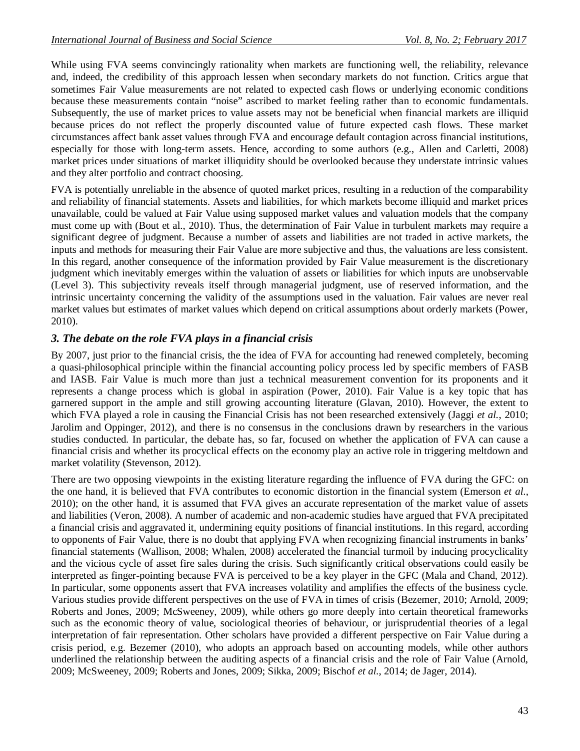While using FVA seems convincingly rationality when markets are functioning well, the reliability, relevance and, indeed, the credibility of this approach lessen when secondary markets do not function. Critics argue that sometimes Fair Value measurements are not related to expected cash flows or underlying economic conditions because these measurements contain "noise" ascribed to market feeling rather than to economic fundamentals. Subsequently, the use of market prices to value assets may not be beneficial when financial markets are illiquid because prices do not reflect the properly discounted value of future expected cash flows. These market circumstances affect bank asset values through FVA and encourage default contagion across financial institutions, especially for those with long-term assets. Hence, according to some authors (e.g., Allen and Carletti, 2008) market prices under situations of market illiquidity should be overlooked because they understate intrinsic values and they alter portfolio and contract choosing.

FVA is potentially unreliable in the absence of quoted market prices, resulting in a reduction of the comparability and reliability of financial statements. Assets and liabilities, for which markets become illiquid and market prices unavailable, could be valued at Fair Value using supposed market values and valuation models that the company must come up with (Bout et al., 2010). Thus, the determination of Fair Value in turbulent markets may require a significant degree of judgment. Because a number of assets and liabilities are not traded in active markets, the inputs and methods for measuring their Fair Value are more subjective and thus, the valuations are less consistent. In this regard, another consequence of the information provided by Fair Value measurement is the discretionary judgment which inevitably emerges within the valuation of assets or liabilities for which inputs are unobservable (Level 3). This subjectivity reveals itself through managerial judgment, use of reserved information, and the intrinsic uncertainty concerning the validity of the assumptions used in the valuation. Fair values are never real market values but estimates of market values which depend on critical assumptions about orderly markets (Power, 2010).

# *3. The debate on the role FVA plays in a financial crisis*

By 2007, just prior to the financial crisis, the the idea of FVA for accounting had renewed completely, becoming a quasi-philosophical principle within the financial accounting policy process led by specific members of FASB and IASB. Fair Value is much more than just a technical measurement convention for its proponents and it represents a change process which is global in aspiration (Power, 2010). Fair Value is a key topic that has garnered support in the ample and still growing accounting literature (Glavan, 2010). However, the extent to which FVA played a role in causing the Financial Crisis has not been researched extensively (Jaggi *et al.*, 2010; Jarolim and Oppinger, 2012), and there is no consensus in the conclusions drawn by researchers in the various studies conducted. In particular, the debate has, so far, focused on whether the application of FVA can cause a financial crisis and whether its procyclical effects on the economy play an active role in triggering meltdown and market volatility (Stevenson, 2012).

There are two opposing viewpoints in the existing literature regarding the influence of FVA during the GFC: on the one hand, it is believed that FVA contributes to economic distortion in the financial system (Emerson *et al.*, 2010); on the other hand, it is assumed that FVA gives an accurate representation of the market value of assets and liabilities (Veron, 2008). A number of academic and non-academic studies have argued that FVA precipitated a financial crisis and aggravated it, undermining equity positions of financial institutions. In this regard, according to opponents of Fair Value, there is no doubt that applying FVA when recognizing financial instruments in banks' financial statements (Wallison, 2008; Whalen, 2008) accelerated the financial turmoil by inducing procyclicality and the vicious cycle of asset fire sales during the crisis. Such significantly critical observations could easily be interpreted as finger-pointing because FVA is perceived to be a key player in the GFC (Mala and Chand, 2012). In particular, some opponents assert that FVA increases volatility and amplifies the effects of the business cycle. Various studies provide different perspectives on the use of FVA in times of crisis (Bezemer, 2010; Arnold, 2009; Roberts and Jones, 2009; McSweeney, 2009), while others go more deeply into certain theoretical frameworks such as the economic theory of value, sociological theories of behaviour, or jurisprudential theories of a legal interpretation of fair representation. Other scholars have provided a different perspective on Fair Value during a crisis period, e.g. Bezemer (2010), who adopts an approach based on accounting models, while other authors underlined the relationship between the auditing aspects of a financial crisis and the role of Fair Value (Arnold, 2009; McSweeney, 2009; Roberts and Jones, 2009; Sikka, 2009; Bischof *et al.*, 2014; de Jager, 2014).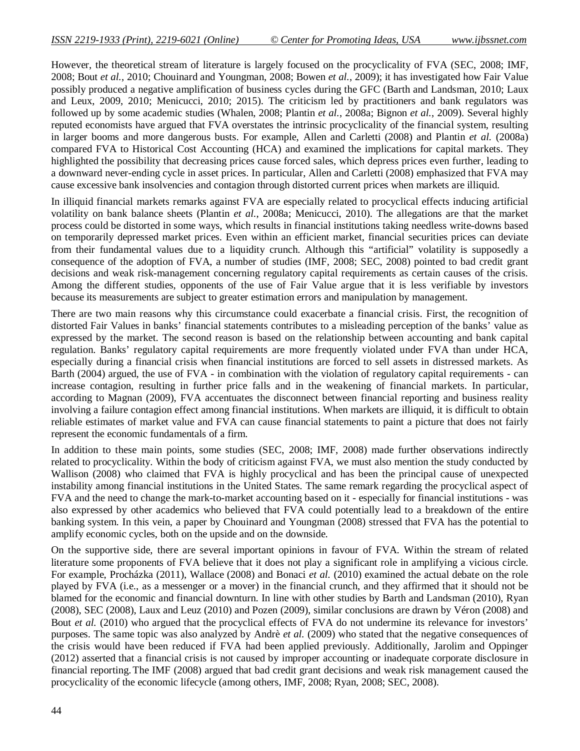However, the theoretical stream of literature is largely focused on the procyclicality of FVA (SEC, 2008; IMF, 2008; Bout *et al.*, 2010; Chouinard and Youngman, 2008; Bowen *et al.*, 2009); it has investigated how Fair Value possibly produced a negative amplification of business cycles during the GFC (Barth and Landsman, 2010; Laux and Leux, 2009, 2010; Menicucci, 2010; 2015). The criticism led by practitioners and bank regulators was followed up by some academic studies (Whalen, 2008; Plantin *et al.*, 2008a; Bignon *et al.*, 2009). Several highly reputed economists have argued that FVA overstates the intrinsic procyclicality of the financial system, resulting in larger booms and more dangerous busts. For example, Allen and Carletti (2008) and Plantin *et al.* (2008a) compared FVA to Historical Cost Accounting (HCA) and examined the implications for capital markets. They highlighted the possibility that decreasing prices cause forced sales, which depress prices even further, leading to a downward never-ending cycle in asset prices. In particular, Allen and Carletti (2008) emphasized that FVA may cause excessive bank insolvencies and contagion through distorted current prices when markets are illiquid.

In illiquid financial markets remarks against FVA are especially related to procyclical effects inducing artificial volatility on bank balance sheets (Plantin *et al.*, 2008a; Menicucci, 2010). The allegations are that the market process could be distorted in some ways, which results in financial institutions taking needless write-downs based on temporarily depressed market prices. Even within an efficient market, financial securities prices can deviate from their fundamental values due to a liquidity crunch. Although this "artificial" volatility is supposedly a consequence of the adoption of FVA, a number of studies (IMF, 2008; SEC, 2008) pointed to bad credit grant decisions and weak risk-management concerning regulatory capital requirements as certain causes of the crisis. Among the different studies, opponents of the use of Fair Value argue that it is less verifiable by investors because its measurements are subject to greater estimation errors and manipulation by management.

There are two main reasons why this circumstance could exacerbate a financial crisis. First, the recognition of distorted Fair Values in banks' financial statements contributes to a misleading perception of the banks' value as expressed by the market. The second reason is based on the relationship between accounting and bank capital regulation. Banks' regulatory capital requirements are more frequently violated under FVA than under HCA, especially during a financial crisis when financial institutions are forced to sell assets in distressed markets. As Barth (2004) argued, the use of FVA - in combination with the violation of regulatory capital requirements - can increase contagion, resulting in further price falls and in the weakening of financial markets. In particular, according to Magnan (2009), FVA accentuates the disconnect between financial reporting and business reality involving a failure contagion effect among financial institutions. When markets are illiquid, it is difficult to obtain reliable estimates of market value and FVA can cause financial statements to paint a picture that does not fairly represent the economic fundamentals of a firm.

In addition to these main points, some studies (SEC, 2008; IMF, 2008) made further observations indirectly related to procyclicality. Within the body of criticism against FVA, we must also mention the study conducted by Wallison (2008) who claimed that FVA is highly procyclical and has been the principal cause of unexpected instability among financial institutions in the United States. The same remark regarding the procyclical aspect of FVA and the need to change the mark-to-market accounting based on it - especially for financial institutions - was also expressed by other academics who believed that FVA could potentially lead to a breakdown of the entire banking system. In this vein, a paper by Chouinard and Youngman (2008) stressed that FVA has the potential to amplify economic cycles, both on the upside and on the downside.

On the supportive side, there are several important opinions in favour of FVA. Within the stream of related literature some proponents of FVA believe that it does not play a significant role in amplifying a vicious circle. For example, Procházka (2011), Wallace (2008) and Bonaci *et al.* (2010) examined the actual debate on the role played by FVA (i.e., as a messenger or a mover) in the financial crunch, and they affirmed that it should not be blamed for the economic and financial downturn. In line with other studies by Barth and Landsman (2010), Ryan (2008), SEC (2008), Laux and Leuz (2010) and Pozen (2009), similar conclusions are drawn by Véron (2008) and Bout *et al.* (2010) who argued that the procyclical effects of FVA do not undermine its relevance for investors' purposes. The same topic was also analyzed by Andrè *et al.* (2009) who stated that the negative consequences of the crisis would have been reduced if FVA had been applied previously. Additionally, Jarolim and Oppinger (2012) asserted that a financial crisis is not caused by improper accounting or inadequate corporate disclosure in financial reporting.The IMF (2008) argued that bad credit grant decisions and weak risk management caused the procyclicality of the economic lifecycle (among others, IMF, 2008; Ryan, 2008; SEC, 2008).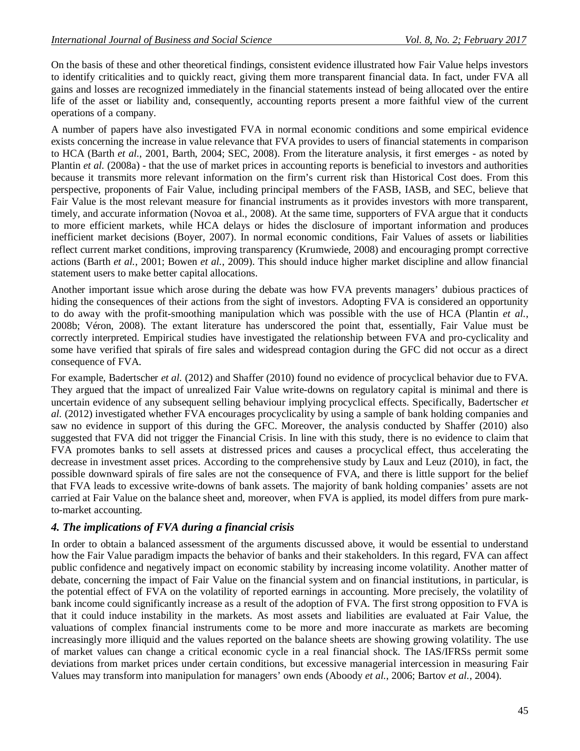On the basis of these and other theoretical findings, consistent evidence illustrated how Fair Value helps investors to identify criticalities and to quickly react, giving them more transparent financial data. In fact, under FVA all gains and losses are recognized immediately in the financial statements instead of being allocated over the entire life of the asset or liability and, consequently, accounting reports present a more faithful view of the current operations of a company.

A number of papers have also investigated FVA in normal economic conditions and some empirical evidence exists concerning the increase in value relevance that FVA provides to users of financial statements in comparison to HCA (Barth *et al.*, 2001, Barth, 2004; SEC, 2008). From the literature analysis, it first emerges - as noted by Plantin *et al.* (2008a) - that the use of market prices in accounting reports is beneficial to investors and authorities because it transmits more relevant information on the firm's current risk than Historical Cost does. From this perspective, proponents of Fair Value, including principal members of the FASB, IASB, and SEC, believe that Fair Value is the most relevant measure for financial instruments as it provides investors with more transparent, timely, and accurate information (Novoa et al., 2008). At the same time, supporters of FVA argue that it conducts to more efficient markets, while HCA delays or hides the disclosure of important information and produces inefficient market decisions (Boyer, 2007). In normal economic conditions, Fair Values of assets or liabilities reflect current market conditions, improving transparency (Krumwiede, 2008) and encouraging prompt corrective actions (Barth *et al.*, 2001; Bowen *et al.*, 2009). This should induce higher market discipline and allow financial statement users to make better capital allocations.

Another important issue which arose during the debate was how FVA prevents managers' dubious practices of hiding the consequences of their actions from the sight of investors. Adopting FVA is considered an opportunity to do away with the profit-smoothing manipulation which was possible with the use of HCA (Plantin *et al.*, 2008b; Véron, 2008). The extant literature has underscored the point that, essentially, Fair Value must be correctly interpreted. Empirical studies have investigated the relationship between FVA and pro-cyclicality and some have verified that spirals of fire sales and widespread contagion during the GFC did not occur as a direct consequence of FVA.

For example, Badertscher *et al.* (2012) and Shaffer (2010) found no evidence of procyclical behavior due to FVA. They argued that the impact of unrealized Fair Value write-downs on regulatory capital is minimal and there is uncertain evidence of any subsequent selling behaviour implying procyclical effects. Specifically, Badertscher *et al.* (2012) investigated whether FVA encourages procyclicality by using a sample of bank holding companies and saw no evidence in support of this during the GFC. Moreover, the analysis conducted by Shaffer (2010) also suggested that FVA did not trigger the Financial Crisis. In line with this study, there is no evidence to claim that FVA promotes banks to sell assets at distressed prices and causes a procyclical effect, thus accelerating the decrease in investment asset prices. According to the comprehensive study by Laux and Leuz (2010), in fact, the possible downward spirals of fire sales are not the consequence of FVA, and there is little support for the belief that FVA leads to excessive write-downs of bank assets. The majority of bank holding companies' assets are not carried at Fair Value on the balance sheet and, moreover, when FVA is applied, its model differs from pure markto-market accounting.

#### *4. The implications of FVA during a financial crisis*

In order to obtain a balanced assessment of the arguments discussed above, it would be essential to understand how the Fair Value paradigm impacts the behavior of banks and their stakeholders. In this regard, FVA can affect public confidence and negatively impact on economic stability by increasing income volatility. Another matter of debate, concerning the impact of Fair Value on the financial system and on financial institutions, in particular, is the potential effect of FVA on the volatility of reported earnings in accounting. More precisely, the volatility of bank income could significantly increase as a result of the adoption of FVA. The first strong opposition to FVA is that it could induce instability in the markets. As most assets and liabilities are evaluated at Fair Value, the valuations of complex financial instruments come to be more and more inaccurate as markets are becoming increasingly more illiquid and the values reported on the balance sheets are showing growing volatility. The use of market values can change a critical economic cycle in a real financial shock. The IAS/IFRSs permit some deviations from market prices under certain conditions, but excessive managerial intercession in measuring Fair Values may transform into manipulation for managers' own ends (Aboody *et al.*, 2006; Bartov *et al.*, 2004).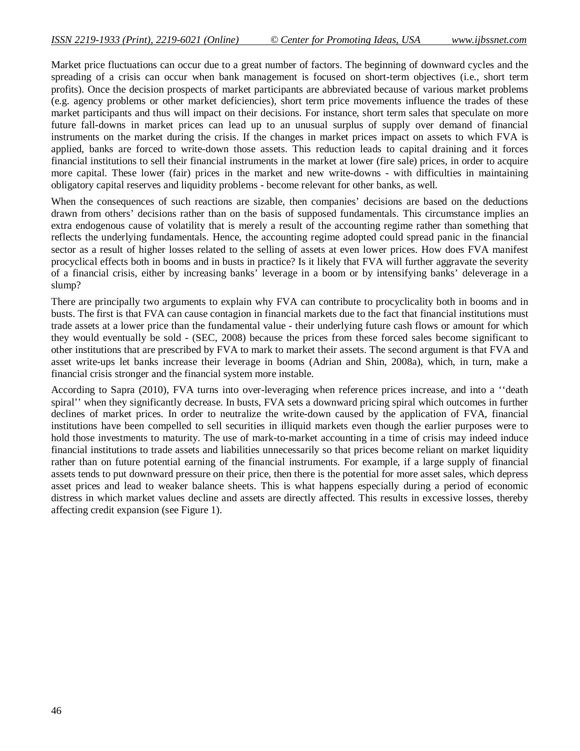Market price fluctuations can occur due to a great number of factors. The beginning of downward cycles and the spreading of a crisis can occur when bank management is focused on short-term objectives (i.e., short term profits). Once the decision prospects of market participants are abbreviated because of various market problems (e.g. agency problems or other market deficiencies), short term price movements influence the trades of these market participants and thus will impact on their decisions. For instance, short term sales that speculate on more future fall-downs in market prices can lead up to an unusual surplus of supply over demand of financial instruments on the market during the crisis. If the changes in market prices impact on assets to which FVA is applied, banks are forced to write-down those assets. This reduction leads to capital draining and it forces financial institutions to sell their financial instruments in the market at lower (fire sale) prices, in order to acquire more capital. These lower (fair) prices in the market and new write-downs - with difficulties in maintaining obligatory capital reserves and liquidity problems - become relevant for other banks, as well.

When the consequences of such reactions are sizable, then companies' decisions are based on the deductions drawn from others' decisions rather than on the basis of supposed fundamentals. This circumstance implies an extra endogenous cause of volatility that is merely a result of the accounting regime rather than something that reflects the underlying fundamentals. Hence, the accounting regime adopted could spread panic in the financial sector as a result of higher losses related to the selling of assets at even lower prices. How does FVA manifest procyclical effects both in booms and in busts in practice? Is it likely that FVA will further aggravate the severity of a financial crisis, either by increasing banks' leverage in a boom or by intensifying banks' deleverage in a slump?

There are principally two arguments to explain why FVA can contribute to procyclicality both in booms and in busts. The first is that FVA can cause contagion in financial markets due to the fact that financial institutions must trade assets at a lower price than the fundamental value - their underlying future cash flows or amount for which they would eventually be sold - (SEC, 2008) because the prices from these forced sales become significant to other institutions that are prescribed by FVA to mark to market their assets. The second argument is that FVA and asset write-ups let banks increase their leverage in booms (Adrian and Shin, 2008a), which, in turn, make a financial crisis stronger and the financial system more instable.

According to Sapra (2010), FVA turns into over-leveraging when reference prices increase, and into a ''death spiral'' when they significantly decrease. In busts, FVA sets a downward pricing spiral which outcomes in further declines of market prices. In order to neutralize the write-down caused by the application of FVA, financial institutions have been compelled to sell securities in illiquid markets even though the earlier purposes were to hold those investments to maturity. The use of mark-to-market accounting in a time of crisis may indeed induce financial institutions to trade assets and liabilities unnecessarily so that prices become reliant on market liquidity rather than on future potential earning of the financial instruments. For example, if a large supply of financial assets tends to put downward pressure on their price, then there is the potential for more asset sales, which depress asset prices and lead to weaker balance sheets. This is what happens especially during a period of economic distress in which market values decline and assets are directly affected. This results in excessive losses, thereby affecting credit expansion (see Figure 1).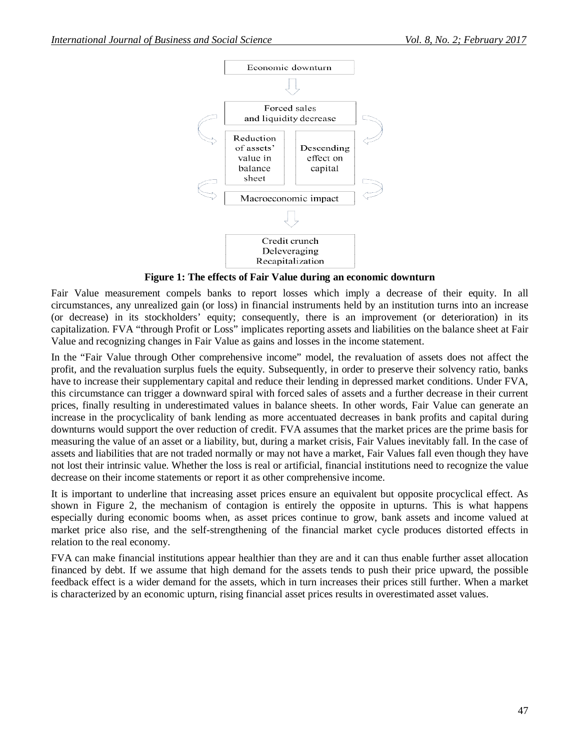

**Figure 1: The effects of Fair Value during an economic downturn**

Fair Value measurement compels banks to report losses which imply a decrease of their equity. In all circumstances, any unrealized gain (or loss) in financial instruments held by an institution turns into an increase (or decrease) in its stockholders' equity; consequently, there is an improvement (or deterioration) in its capitalization. FVA "through Profit or Loss" implicates reporting assets and liabilities on the balance sheet at Fair Value and recognizing changes in Fair Value as gains and losses in the income statement.

In the "Fair Value through Other comprehensive income" model, the revaluation of assets does not affect the profit, and the revaluation surplus fuels the equity. Subsequently, in order to preserve their solvency ratio, banks have to increase their supplementary capital and reduce their lending in depressed market conditions. Under FVA, this circumstance can trigger a downward spiral with forced sales of assets and a further decrease in their current prices, finally resulting in underestimated values in balance sheets. In other words, Fair Value can generate an increase in the procyclicality of bank lending as more accentuated decreases in bank profits and capital during downturns would support the over reduction of credit. FVA assumes that the market prices are the prime basis for measuring the value of an asset or a liability, but, during a market crisis, Fair Values inevitably fall. In the case of assets and liabilities that are not traded normally or may not have a market, Fair Values fall even though they have not lost their intrinsic value. Whether the loss is real or artificial, financial institutions need to recognize the value decrease on their income statements or report it as other comprehensive income.

It is important to underline that increasing asset prices ensure an equivalent but opposite procyclical effect. As shown in Figure 2, the mechanism of contagion is entirely the opposite in upturns. This is what happens especially during economic booms when, as asset prices continue to grow, bank assets and income valued at market price also rise, and the self-strengthening of the financial market cycle produces distorted effects in relation to the real economy.

FVA can make financial institutions appear healthier than they are and it can thus enable further asset allocation financed by debt. If we assume that high demand for the assets tends to push their price upward, the possible feedback effect is a wider demand for the assets, which in turn increases their prices still further. When a market is characterized by an economic upturn, rising financial asset prices results in overestimated asset values.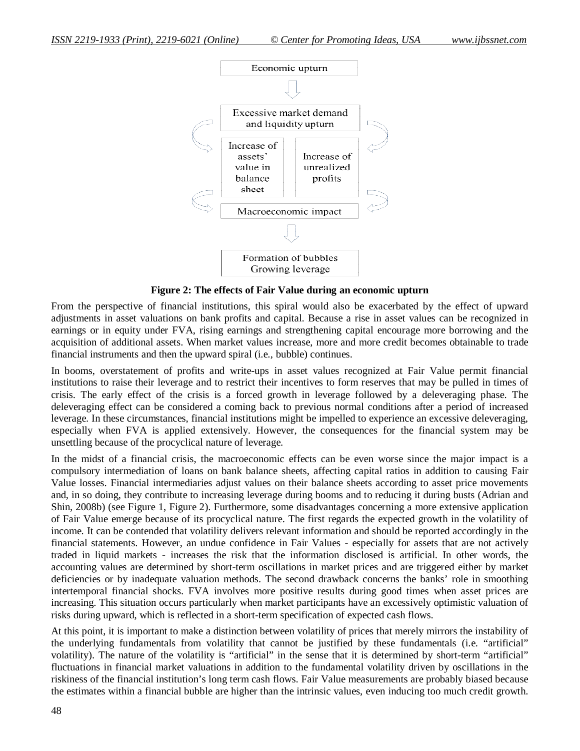

**Figure 2: The effects of Fair Value during an economic upturn**

From the perspective of financial institutions, this spiral would also be exacerbated by the effect of upward adjustments in asset valuations on bank profits and capital. Because a rise in asset values can be recognized in earnings or in equity under FVA, rising earnings and strengthening capital encourage more borrowing and the acquisition of additional assets. When market values increase, more and more credit becomes obtainable to trade financial instruments and then the upward spiral (i.e., bubble) continues.

In booms, overstatement of profits and write-ups in asset values recognized at Fair Value permit financial institutions to raise their leverage and to restrict their incentives to form reserves that may be pulled in times of crisis. The early effect of the crisis is a forced growth in leverage followed by a deleveraging phase. The deleveraging effect can be considered a coming back to previous normal conditions after a period of increased leverage. In these circumstances, financial institutions might be impelled to experience an excessive deleveraging, especially when FVA is applied extensively. However, the consequences for the financial system may be unsettling because of the procyclical nature of leverage.

In the midst of a financial crisis, the macroeconomic effects can be even worse since the major impact is a compulsory intermediation of loans on bank balance sheets, affecting capital ratios in addition to causing Fair Value losses. Financial intermediaries adjust values on their balance sheets according to asset price movements and, in so doing, they contribute to increasing leverage during booms and to reducing it during busts (Adrian and Shin, 2008b) (see Figure 1, Figure 2). Furthermore, some disadvantages concerning a more extensive application of Fair Value emerge because of its procyclical nature. The first regards the expected growth in the volatility of income. It can be contended that volatility delivers relevant information and should be reported accordingly in the financial statements. However, an undue confidence in Fair Values - especially for assets that are not actively traded in liquid markets - increases the risk that the information disclosed is artificial. In other words, the accounting values are determined by short-term oscillations in market prices and are triggered either by market deficiencies or by inadequate valuation methods. The second drawback concerns the banks' role in smoothing intertemporal financial shocks. FVA involves more positive results during good times when asset prices are increasing. This situation occurs particularly when market participants have an excessively optimistic valuation of risks during upward, which is reflected in a short-term specification of expected cash flows.

At this point, it is important to make a distinction between volatility of prices that merely mirrors the instability of the underlying fundamentals from volatility that cannot be justified by these fundamentals (i.e. "artificial" volatility). The nature of the volatility is "artificial" in the sense that it is determined by short-term "artificial" fluctuations in financial market valuations in addition to the fundamental volatility driven by oscillations in the riskiness of the financial institution's long term cash flows. Fair Value measurements are probably biased because the estimates within a financial bubble are higher than the intrinsic values, even inducing too much credit growth.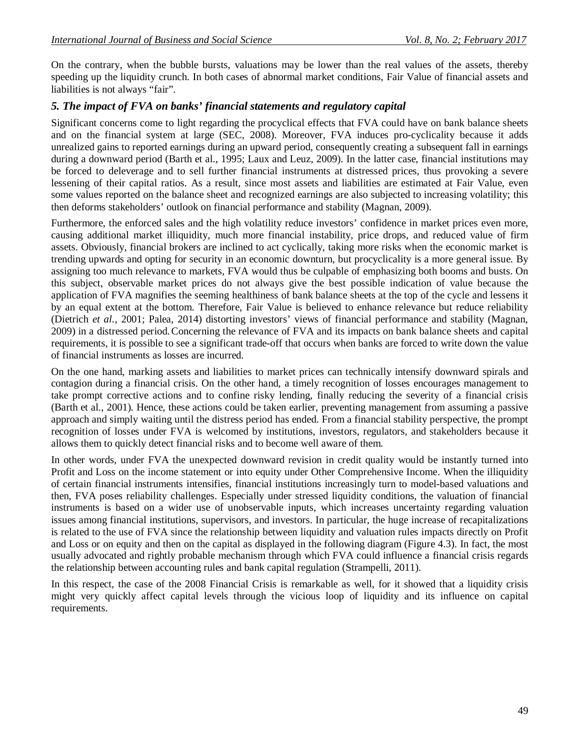On the contrary, when the bubble bursts, valuations may be lower than the real values of the assets, thereby speeding up the liquidity crunch. In both cases of abnormal market conditions, Fair Value of financial assets and liabilities is not always "fair".

## *5. The impact of FVA on banks' financial statements and regulatory capital*

Significant concerns come to light regarding the procyclical effects that FVA could have on bank balance sheets and on the financial system at large (SEC, 2008). Moreover, FVA induces pro-cyclicality because it adds unrealized gains to reported earnings during an upward period, consequently creating a subsequent fall in earnings during a downward period (Barth et al., 1995; Laux and Leuz, 2009). In the latter case, financial institutions may be forced to deleverage and to sell further financial instruments at distressed prices, thus provoking a severe lessening of their capital ratios. As a result, since most assets and liabilities are estimated at Fair Value, even some values reported on the balance sheet and recognized earnings are also subjected to increasing volatility; this then deforms stakeholders' outlook on financial performance and stability (Magnan, 2009).

Furthermore, the enforced sales and the high volatility reduce investors' confidence in market prices even more, causing additional market illiquidity, much more financial instability, price drops, and reduced value of firm assets. Obviously, financial brokers are inclined to act cyclically, taking more risks when the economic market is trending upwards and opting for security in an economic downturn, but procyclicality is a more general issue. By assigning too much relevance to markets, FVA would thus be culpable of emphasizing both booms and busts. On this subject, observable market prices do not always give the best possible indication of value because the application of FVA magnifies the seeming healthiness of bank balance sheets at the top of the cycle and lessens it by an equal extent at the bottom. Therefore, Fair Value is believed to enhance relevance but reduce reliability (Dietrich *et al.*, 2001; Palea, 2014) distorting investors' views of financial performance and stability (Magnan, 2009) in a distressed period.Concerning the relevance of FVA and its impacts on bank balance sheets and capital requirements, it is possible to see a significant trade-off that occurs when banks are forced to write down the value of financial instruments as losses are incurred.

On the one hand, marking assets and liabilities to market prices can technically intensify downward spirals and contagion during a financial crisis. On the other hand, a timely recognition of losses encourages management to take prompt corrective actions and to confine risky lending, finally reducing the severity of a financial crisis (Barth et al., 2001). Hence, these actions could be taken earlier, preventing management from assuming a passive approach and simply waiting until the distress period has ended. From a financial stability perspective, the prompt recognition of losses under FVA is welcomed by institutions, investors, regulators, and stakeholders because it allows them to quickly detect financial risks and to become well aware of them.

In other words, under FVA the unexpected downward revision in credit quality would be instantly turned into Profit and Loss on the income statement or into equity under Other Comprehensive Income. When the illiquidity of certain financial instruments intensifies, financial institutions increasingly turn to model-based valuations and then, FVA poses reliability challenges. Especially under stressed liquidity conditions, the valuation of financial instruments is based on a wider use of unobservable inputs, which increases uncertainty regarding valuation issues among financial institutions, supervisors, and investors. In particular, the huge increase of recapitalizations is related to the use of FVA since the relationship between liquidity and valuation rules impacts directly on Profit and Loss or on equity and then on the capital as displayed in the following diagram (Figure 4.3). In fact, the most usually advocated and rightly probable mechanism through which FVA could influence a financial crisis regards the relationship between accounting rules and bank capital regulation (Strampelli, 2011).

In this respect, the case of the 2008 Financial Crisis is remarkable as well, for it showed that a liquidity crisis might very quickly affect capital levels through the vicious loop of liquidity and its influence on capital requirements.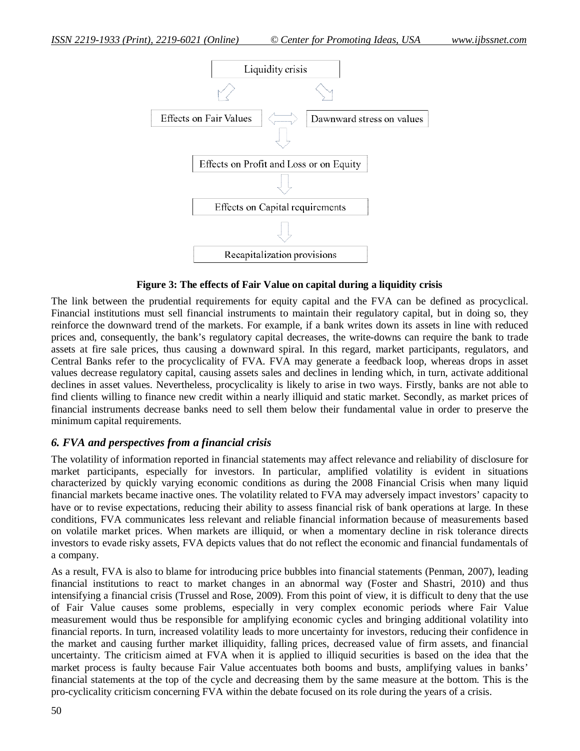

**Figure 3: The effects of Fair Value on capital during a liquidity crisis**

The link between the prudential requirements for equity capital and the FVA can be defined as procyclical. Financial institutions must sell financial instruments to maintain their regulatory capital, but in doing so, they reinforce the downward trend of the markets. For example, if a bank writes down its assets in line with reduced prices and, consequently, the bank's regulatory capital decreases, the write-downs can require the bank to trade assets at fire sale prices, thus causing a downward spiral. In this regard, market participants, regulators, and Central Banks refer to the procyclicality of FVA. FVA may generate a feedback loop, whereas drops in asset values decrease regulatory capital, causing assets sales and declines in lending which, in turn, activate additional declines in asset values. Nevertheless, procyclicality is likely to arise in two ways. Firstly, banks are not able to find clients willing to finance new credit within a nearly illiquid and static market. Secondly, as market prices of financial instruments decrease banks need to sell them below their fundamental value in order to preserve the minimum capital requirements.

# *6. FVA and perspectives from a financial crisis*

The volatility of information reported in financial statements may affect relevance and reliability of disclosure for market participants, especially for investors. In particular, amplified volatility is evident in situations characterized by quickly varying economic conditions as during the 2008 Financial Crisis when many liquid financial markets became inactive ones. The volatility related to FVA may adversely impact investors' capacity to have or to revise expectations, reducing their ability to assess financial risk of bank operations at large. In these conditions, FVA communicates less relevant and reliable financial information because of measurements based on volatile market prices. When markets are illiquid, or when a momentary decline in risk tolerance directs investors to evade risky assets, FVA depicts values that do not reflect the economic and financial fundamentals of a company.

As a result, FVA is also to blame for introducing price bubbles into financial statements (Penman, 2007), leading financial institutions to react to market changes in an abnormal way (Foster and Shastri, 2010) and thus intensifying a financial crisis (Trussel and Rose, 2009). From this point of view, it is difficult to deny that the use of Fair Value causes some problems, especially in very complex economic periods where Fair Value measurement would thus be responsible for amplifying economic cycles and bringing additional volatility into financial reports. In turn, increased volatility leads to more uncertainty for investors, reducing their confidence in the market and causing further market illiquidity, falling prices, decreased value of firm assets, and financial uncertainty. The criticism aimed at FVA when it is applied to illiquid securities is based on the idea that the market process is faulty because Fair Value accentuates both booms and busts, amplifying values in banks' financial statements at the top of the cycle and decreasing them by the same measure at the bottom. This is the pro-cyclicality criticism concerning FVA within the debate focused on its role during the years of a crisis.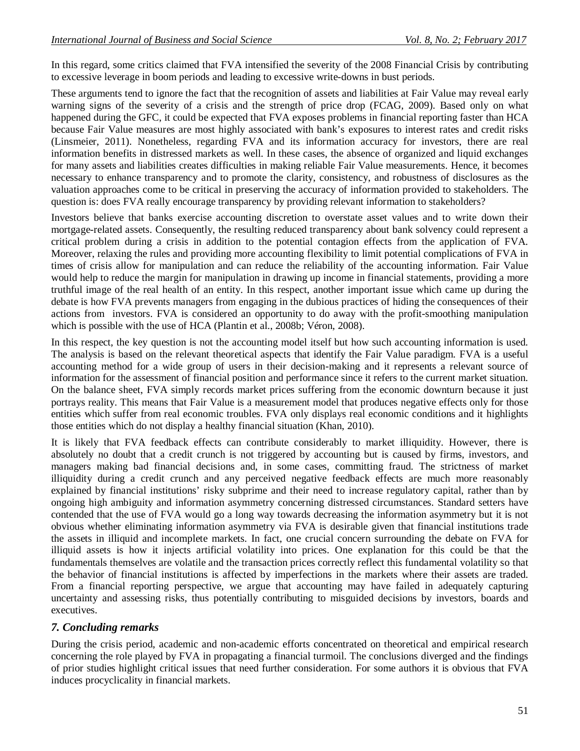In this regard, some critics claimed that FVA intensified the severity of the 2008 Financial Crisis by contributing to excessive leverage in boom periods and leading to excessive write-downs in bust periods.

These arguments tend to ignore the fact that the recognition of assets and liabilities at Fair Value may reveal early warning signs of the severity of a crisis and the strength of price drop (FCAG, 2009). Based only on what happened during the GFC, it could be expected that FVA exposes problems in financial reporting faster than HCA because Fair Value measures are most highly associated with bank's exposures to interest rates and credit risks (Linsmeier, 2011). Nonetheless, regarding FVA and its information accuracy for investors, there are real information benefits in distressed markets as well. In these cases, the absence of organized and liquid exchanges for many assets and liabilities creates difficulties in making reliable Fair Value measurements. Hence, it becomes necessary to enhance transparency and to promote the clarity, consistency, and robustness of disclosures as the valuation approaches come to be critical in preserving the accuracy of information provided to stakeholders. The question is: does FVA really encourage transparency by providing relevant information to stakeholders?

Investors believe that banks exercise accounting discretion to overstate asset values and to write down their mortgage-related assets. Consequently, the resulting reduced transparency about bank solvency could represent a critical problem during a crisis in addition to the potential contagion effects from the application of FVA. Moreover, relaxing the rules and providing more accounting flexibility to limit potential complications of FVA in times of crisis allow for manipulation and can reduce the reliability of the accounting information. Fair Value would help to reduce the margin for manipulation in drawing up income in financial statements, providing a more truthful image of the real health of an entity. In this respect, another important issue which came up during the debate is how FVA prevents managers from engaging in the dubious practices of hiding the consequences of their actions from investors. FVA is considered an opportunity to do away with the profit-smoothing manipulation which is possible with the use of HCA (Plantin et al., 2008b; Véron, 2008).

In this respect, the key question is not the accounting model itself but how such accounting information is used. The analysis is based on the relevant theoretical aspects that identify the Fair Value paradigm. FVA is a useful accounting method for a wide group of users in their decision-making and it represents a relevant source of information for the assessment of financial position and performance since it refers to the current market situation. On the balance sheet, FVA simply records market prices suffering from the economic downturn because it just portrays reality. This means that Fair Value is a measurement model that produces negative effects only for those entities which suffer from real economic troubles. FVA only displays real economic conditions and it highlights those entities which do not display a healthy financial situation (Khan, 2010).

It is likely that FVA feedback effects can contribute considerably to market illiquidity. However, there is absolutely no doubt that a credit crunch is not triggered by accounting but is caused by firms, investors, and managers making bad financial decisions and, in some cases, committing fraud. The strictness of market illiquidity during a credit crunch and any perceived negative feedback effects are much more reasonably explained by financial institutions' risky subprime and their need to increase regulatory capital, rather than by ongoing high ambiguity and information asymmetry concerning distressed circumstances. Standard setters have contended that the use of FVA would go a long way towards decreasing the information asymmetry but it is not obvious whether eliminating information asymmetry via FVA is desirable given that financial institutions trade the assets in illiquid and incomplete markets. In fact, one crucial concern surrounding the debate on FVA for illiquid assets is how it injects artificial volatility into prices. One explanation for this could be that the fundamentals themselves are volatile and the transaction prices correctly reflect this fundamental volatility so that the behavior of financial institutions is affected by imperfections in the markets where their assets are traded. From a financial reporting perspective, we argue that accounting may have failed in adequately capturing uncertainty and assessing risks, thus potentially contributing to misguided decisions by investors, boards and executives.

#### *7. Concluding remarks*

During the crisis period, academic and non-academic efforts concentrated on theoretical and empirical research concerning the role played by FVA in propagating a financial turmoil. The conclusions diverged and the findings of prior studies highlight critical issues that need further consideration. For some authors it is obvious that FVA induces procyclicality in financial markets.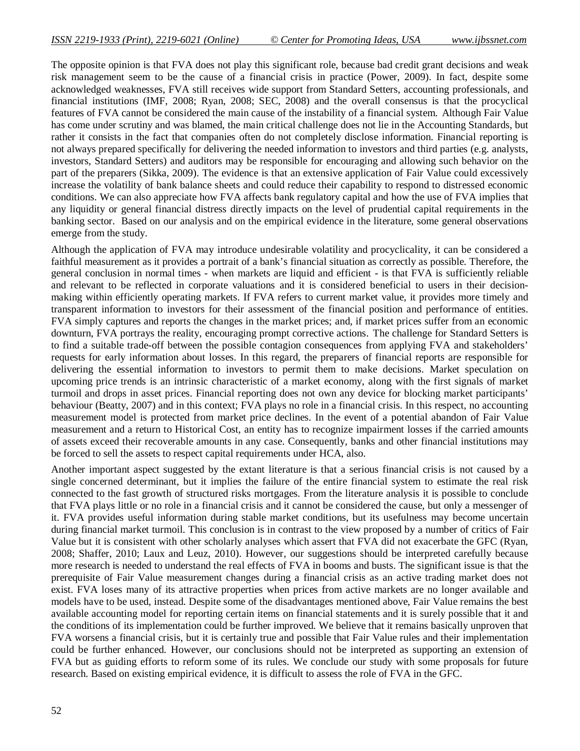The opposite opinion is that FVA does not play this significant role, because bad credit grant decisions and weak risk management seem to be the cause of a financial crisis in practice (Power, 2009). In fact, despite some acknowledged weaknesses, FVA still receives wide support from Standard Setters, accounting professionals, and financial institutions (IMF, 2008; Ryan, 2008; SEC, 2008) and the overall consensus is that the procyclical features of FVA cannot be considered the main cause of the instability of a financial system. Although Fair Value has come under scrutiny and was blamed, the main critical challenge does not lie in the Accounting Standards, but rather it consists in the fact that companies often do not completely disclose information. Financial reporting is not always prepared specifically for delivering the needed information to investors and third parties (e.g. analysts, investors, Standard Setters) and auditors may be responsible for encouraging and allowing such behavior on the part of the preparers (Sikka, 2009). The evidence is that an extensive application of Fair Value could excessively increase the volatility of bank balance sheets and could reduce their capability to respond to distressed economic conditions. We can also appreciate how FVA affects bank regulatory capital and how the use of FVA implies that any liquidity or general financial distress directly impacts on the level of prudential capital requirements in the banking sector. Based on our analysis and on the empirical evidence in the literature, some general observations emerge from the study.

Although the application of FVA may introduce undesirable volatility and procyclicality, it can be considered a faithful measurement as it provides a portrait of a bank's financial situation as correctly as possible. Therefore, the general conclusion in normal times - when markets are liquid and efficient - is that FVA is sufficiently reliable and relevant to be reflected in corporate valuations and it is considered beneficial to users in their decisionmaking within efficiently operating markets. If FVA refers to current market value, it provides more timely and transparent information to investors for their assessment of the financial position and performance of entities. FVA simply captures and reports the changes in the market prices; and, if market prices suffer from an economic downturn, FVA portrays the reality, encouraging prompt corrective actions. The challenge for Standard Setters is to find a suitable trade-off between the possible contagion consequences from applying FVA and stakeholders' requests for early information about losses. In this regard, the preparers of financial reports are responsible for delivering the essential information to investors to permit them to make decisions. Market speculation on upcoming price trends is an intrinsic characteristic of a market economy, along with the first signals of market turmoil and drops in asset prices. Financial reporting does not own any device for blocking market participants' behaviour (Beatty, 2007) and in this context; FVA plays no role in a financial crisis. In this respect, no accounting measurement model is protected from market price declines. In the event of a potential abandon of Fair Value measurement and a return to Historical Cost, an entity has to recognize impairment losses if the carried amounts of assets exceed their recoverable amounts in any case. Consequently, banks and other financial institutions may be forced to sell the assets to respect capital requirements under HCA, also.

Another important aspect suggested by the extant literature is that a serious financial crisis is not caused by a single concerned determinant, but it implies the failure of the entire financial system to estimate the real risk connected to the fast growth of structured risks mortgages. From the literature analysis it is possible to conclude that FVA plays little or no role in a financial crisis and it cannot be considered the cause, but only a messenger of it. FVA provides useful information during stable market conditions, but its usefulness may become uncertain during financial market turmoil. This conclusion is in contrast to the view proposed by a number of critics of Fair Value but it is consistent with other scholarly analyses which assert that FVA did not exacerbate the GFC (Ryan, 2008; Shaffer, 2010; Laux and Leuz, 2010). However, our suggestions should be interpreted carefully because more research is needed to understand the real effects of FVA in booms and busts. The significant issue is that the prerequisite of Fair Value measurement changes during a financial crisis as an active trading market does not exist. FVA loses many of its attractive properties when prices from active markets are no longer available and models have to be used, instead. Despite some of the disadvantages mentioned above, Fair Value remains the best available accounting model for reporting certain items on financial statements and it is surely possible that it and the conditions of its implementation could be further improved. We believe that it remains basically unproven that FVA worsens a financial crisis, but it is certainly true and possible that Fair Value rules and their implementation could be further enhanced. However, our conclusions should not be interpreted as supporting an extension of FVA but as guiding efforts to reform some of its rules. We conclude our study with some proposals for future research. Based on existing empirical evidence, it is difficult to assess the role of FVA in the GFC.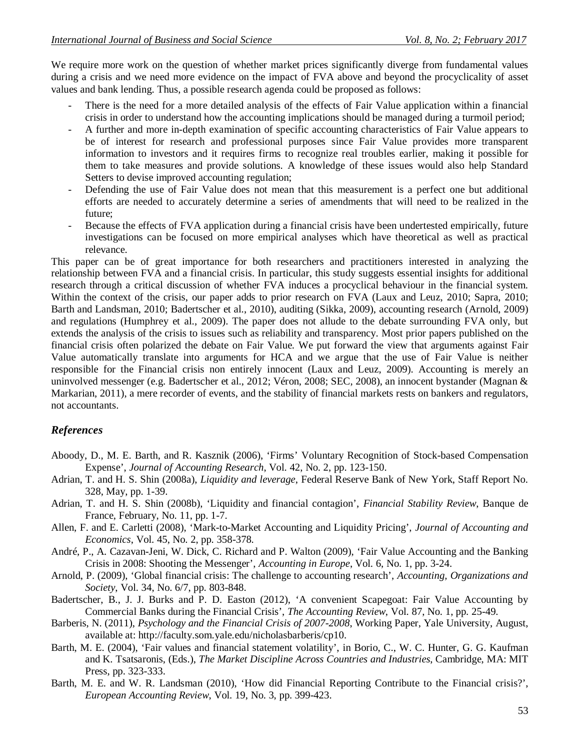We require more work on the question of whether market prices significantly diverge from fundamental values during a crisis and we need more evidence on the impact of FVA above and beyond the procyclicality of asset values and bank lending. Thus, a possible research agenda could be proposed as follows:

- There is the need for a more detailed analysis of the effects of Fair Value application within a financial crisis in order to understand how the accounting implications should be managed during a turmoil period;
- A further and more in-depth examination of specific accounting characteristics of Fair Value appears to be of interest for research and professional purposes since Fair Value provides more transparent information to investors and it requires firms to recognize real troubles earlier, making it possible for them to take measures and provide solutions. A knowledge of these issues would also help Standard Setters to devise improved accounting regulation;
- Defending the use of Fair Value does not mean that this measurement is a perfect one but additional efforts are needed to accurately determine a series of amendments that will need to be realized in the future;
- Because the effects of FVA application during a financial crisis have been undertested empirically, future investigations can be focused on more empirical analyses which have theoretical as well as practical relevance.

This paper can be of great importance for both researchers and practitioners interested in analyzing the relationship between FVA and a financial crisis. In particular, this study suggests essential insights for additional research through a critical discussion of whether FVA induces a procyclical behaviour in the financial system. Within the context of the crisis, our paper adds to prior research on FVA (Laux and Leuz, 2010; Sapra, 2010; Barth and Landsman, 2010; Badertscher et al., 2010), auditing (Sikka, 2009), accounting research (Arnold, 2009) and regulations (Humphrey et al., 2009). The paper does not allude to the debate surrounding FVA only, but extends the analysis of the crisis to issues such as reliability and transparency. Most prior papers published on the financial crisis often polarized the debate on Fair Value. We put forward the view that arguments against Fair Value automatically translate into arguments for HCA and we argue that the use of Fair Value is neither responsible for the Financial crisis non entirely innocent (Laux and Leuz, 2009). Accounting is merely an uninvolved messenger (e.g. Badertscher et al., 2012; Véron, 2008; SEC, 2008), an innocent bystander (Magnan & Markarian, 2011), a mere recorder of events, and the stability of financial markets rests on bankers and regulators, not accountants.

# *References*

- Aboody, D., M. E. Barth, and R. Kasznik (2006), 'Firms' Voluntary Recognition of Stock-based Compensation Expense', *Journal of Accounting Research*, Vol. 42, No. 2, pp. 123-150.
- Adrian, T. and H. S. Shin (2008a), *Liquidity and leverage*, Federal Reserve Bank of New York, Staff Report No. 328, May, pp. 1-39.
- Adrian, T. and H. S. Shin (2008b), 'Liquidity and financial contagion', *Financial Stability Review*, Banque de France, February, No. 11, pp. 1-7.
- Allen, F. and E. Carletti (2008), 'Mark-to-Market Accounting and Liquidity Pricing', *Journal of Accounting and Economics*, Vol. 45, No. 2, pp. 358-378.
- André, P., A. Cazavan-Jeni, W. Dick, C. Richard and P. Walton (2009), 'Fair Value Accounting and the Banking Crisis in 2008: Shooting the Messenger', *Accounting in Europe*, Vol. 6, No. 1, pp. 3-24.
- Arnold, P. (2009), 'Global financial crisis: The challenge to accounting research', *Accounting, Organizations and Society*, Vol. 34, No. 6/7, pp. 803-848.
- Badertscher, B., J. J. Burks and P. D. Easton (2012), 'A convenient Scapegoat: Fair Value Accounting by Commercial Banks during the Financial Crisis', *The Accounting Review*, Vol. 87, No. 1, pp. 25-49.
- Barberis, N. (2011), *Psychology and the Financial Crisis of 2007-2008*, Working Paper, Yale University, August, available at: http://faculty.som.yale.edu/nicholasbarberis/cp10.
- Barth, M. E. (2004), 'Fair values and financial statement volatility', in Borio, C., W. C. Hunter, G. G. Kaufman and K. Tsatsaronis, (Eds.), *The Market Discipline Across Countries and Industries*, Cambridge, MA: MIT Press, pp. 323-333.
- Barth, M. E. and W. R. Landsman (2010), 'How did Financial Reporting Contribute to the Financial crisis?', *European Accounting Review*, Vol. 19, No. 3, pp. 399-423.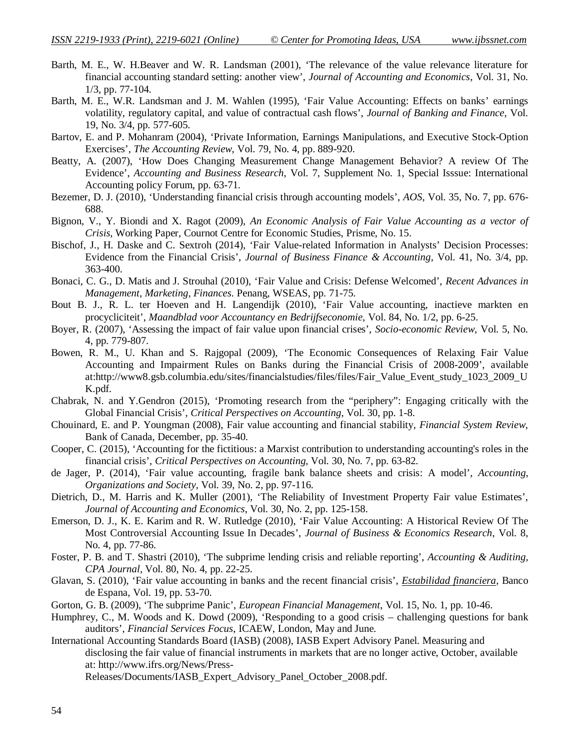- Barth, M. E., W. H.Beaver and W. R. Landsman (2001), 'The relevance of the value relevance literature for financial accounting standard setting: another view', *Journal of Accounting and Economics*, Vol. 31, No. 1/3, pp. 77-104.
- Barth, M. E., W.R. Landsman and J. M. Wahlen (1995), 'Fair Value Accounting: Effects on banks' earnings volatility, regulatory capital, and value of contractual cash flows', *Journal of Banking and Finance*, Vol. 19, No. 3/4, pp. 577-605.
- Bartov, E. and P. Mohanram (2004), 'Private Information, Earnings Manipulations, and Executive Stock-Option Exercises', *The Accounting Review*, Vol. 79, No. 4, pp. 889-920.
- Beatty, A. (2007), 'How Does Changing Measurement Change Management Behavior? A review Of The Evidence', *Accounting and Business Research*, Vol. 7, Supplement No. 1, Special Isssue: International Accounting policy Forum, pp. 63-71.
- Bezemer, D. J. (2010), 'Understanding financial crisis through accounting models', *AOS*, Vol. 35, No. 7, pp. 676- 688.
- Bignon, V., Y. Biondi and X. Ragot (2009), *An Economic Analysis of Fair Value Accounting as a vector of Crisis*, Working Paper, Cournot Centre for Economic Studies, Prisme, No. 15.
- Bischof, J., H. Daske and C. Sextroh (2014), 'Fair Value-related Information in Analysts' Decision Processes: Evidence from the Financial Crisis', *Journal of Business Finance & Accounting*, Vol. 41, No. 3/4, pp. 363-400.
- Bonaci, C. G., D. Matis and J. Strouhal (2010), 'Fair Value and Crisis: Defense Welcomed', *Recent Advances in Management, Marketing, Finances.* Penang, WSEAS, pp. 71-75.
- Bout B. J., R. L. ter Hoeven and H. Langendijk (2010), 'Fair Value accounting, inactieve markten en procycliciteit', *Maandblad voor Accountancy en Bedrijfseconomie,* Vol. 84, No. 1/2, pp. 6-25.
- Boyer, R. (2007), 'Assessing the impact of fair value upon financial crises', *Socio-economic Review*, Vol. 5, No. 4, pp. 779-807.
- Bowen, R. M., U. Khan and S. Rajgopal (2009), 'The Economic Consequences of Relaxing Fair Value Accounting and Impairment Rules on Banks during the Financial Crisis of 2008-2009', available at:http://www8.gsb.columbia.edu/sites/financialstudies/files/files/Fair\_Value\_Event\_study\_1023\_2009\_U K.pdf.
- Chabrak, N. and Y.Gendron (2015), 'Promoting research from the "periphery": Engaging critically with the Global Financial Crisis', *Critical Perspectives on Accounting*, Vol. 30, pp. 1-8.
- Chouinard, E. and P. Youngman (2008), Fair value accounting and financial stability, *Financial System Review*, Bank of Canada, December, pp. 35-40.
- Cooper, C. (2015), 'Accounting for the fictitious: a Marxist contribution to understanding accounting's roles in the financial crisis', *Critical Perspectives on Accounting,* Vol. 30, No. 7, pp. 63-82.
- de Jager, P. (2014), 'Fair value accounting, fragile bank balance sheets and crisis: A model', *Accounting, Organizations and Society*, Vol. 39, No. 2, pp. 97-116.
- Dietrich, D., M. Harris and K. Muller (2001), 'The Reliability of Investment Property Fair value Estimates', *Journal of Accounting and Economics*, Vol. 30, No. 2, pp. 125-158.
- Emerson, D. J., K. E. Karim and R. W. Rutledge (2010), 'Fair Value Accounting: A Historical Review Of The Most Controversial Accounting Issue In Decades', *Journal of Business & Economics Research*, Vol. 8, No. 4, pp. 77-86.
- Foster, P. B. and T. Shastri (2010), 'The subprime lending crisis and reliable reporting', *Accounting & Auditing, CPA Journal*, Vol. 80, No. 4, pp. 22-25.
- Glavan, S. (2010), 'Fair value accounting in banks and the recent financial crisis', *Estabilidad financiera*, Banco de Espana, Vol. 19, pp. 53-70.
- Gorton, G. B. (2009), 'The subprime Panic', *European Financial Management*, Vol. 15, No. 1, pp. 10-46.
- Humphrey, C., M. Woods and K. Dowd (2009), 'Responding to a good crisis challenging questions for bank auditors', *Financial Services Focus*, ICAEW, London, May and June.
- International Accounting Standards Board (IASB) (2008), IASB Expert Advisory Panel. Measuring and disclosing the fair value of financial instruments in markets that are no longer active, October, available at: http://www.ifrs.org/News/Press-

Releases/Documents/IASB\_Expert\_Advisory\_Panel\_October\_2008.pdf.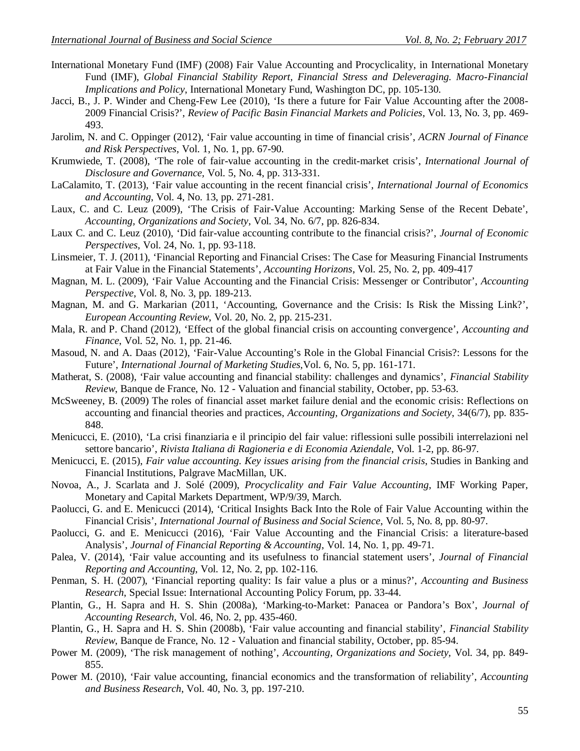- International Monetary Fund (IMF) (2008) Fair Value Accounting and Procyclicality, in International Monetary Fund (IMF), *Global Financial Stability Report, Financial Stress and Deleveraging. Macro-Financial Implications and Policy*, International Monetary Fund, Washington DC, pp. 105-130.
- Jacci, B., J. P. Winder and Cheng-Few Lee (2010), 'Is there a future for Fair Value Accounting after the 2008- 2009 Financial Crisis?', *Review of Pacific Basin Financial Markets and Policies*, Vol. 13, No. 3, pp. 469- 493.
- Jarolim, N. and C. Oppinger (2012), 'Fair value accounting in time of financial crisis', *ACRN Journal of Finance and Risk Perspectives*, Vol. 1, No. 1, pp. 67-90.
- Krumwiede, T. (2008), 'The role of fair-value accounting in the credit-market crisis', *International Journal of Disclosure and Governance,* Vol. 5, No. 4, pp. 313-331.
- LaCalamito, T. (2013), 'Fair value accounting in the recent financial crisis', *International Journal of Economics and Accounting*, Vol. 4, No. 13, pp. 271-281.
- Laux, C. and C. Leuz (2009), 'The Crisis of Fair-Value Accounting: Marking Sense of the Recent Debate', *Accounting, Organizations and Society*, Vol. 34, No. 6/7, pp. 826-834.
- Laux C. and C. Leuz (2010), 'Did fair-value accounting contribute to the financial crisis?', *Journal of Economic Perspectives*, Vol. 24, No. 1, pp. 93-118.
- Linsmeier, T. J. (2011), 'Financial Reporting and Financial Crises: The Case for Measuring Financial Instruments at Fair Value in the Financial Statements', *Accounting Horizons*, Vol. 25, No. 2, pp. 409-417
- Magnan, M. L. (2009), 'Fair Value Accounting and the Financial Crisis: Messenger or Contributor', *Accounting Perspective*, Vol. 8, No. 3, pp. 189-213.
- Magnan, M. and G. Markarian (2011, 'Accounting, Governance and the Crisis: Is Risk the Missing Link?', *European Accounting Review*, Vol. 20, No. 2, pp. 215-231.
- Mala, R. and P. Chand (2012), 'Effect of the global financial crisis on accounting convergence', *Accounting and Finance*, Vol. 52, No. 1, pp. 21-46.
- Masoud, N. and A. Daas (2012), 'Fair-Value Accounting's Role in the Global Financial Crisis?: Lessons for the Future', *International Journal of Marketing Studies,*Vol. 6, No. 5*,* pp. 161-171.
- Matherat, S. (2008), 'Fair value accounting and financial stability: challenges and dynamics', *Financial Stability Review*, Banque de France, No. 12 - Valuation and financial stability, October, pp. 53-63.
- McSweeney, B. (2009) The roles of financial asset market failure denial and the economic crisis: Reflections on accounting and financial theories and practices, *Accounting, Organizations and Society*, 34(6/7), pp. 835- 848.
- Menicucci, E. (2010), 'La crisi finanziaria e il principio del fair value: riflessioni sulle possibili interrelazioni nel settore bancario', *Rivista Italiana di Ragioneria e di Economia Aziendale*, Vol. 1-2, pp. 86-97.
- Menicucci, E. (2015), *Fair value accounting. Key issues arising from the financial crisis*, Studies in Banking and Financial Institutions, Palgrave MacMillan, UK.
- Novoa, A., J. Scarlata and J. Solé (2009), *Procyclicality and Fair Value Accounting*, IMF Working Paper, Monetary and Capital Markets Department, WP/9/39, March.
- Paolucci, G. and E. Menicucci (2014), 'Critical Insights Back Into the Role of Fair Value Accounting within the Financial Crisis', *International Journal of Business and Social Science*, Vol. 5, No. 8, pp. 80-97.
- Paolucci, G. and E. Menicucci (2016), 'Fair Value Accounting and the Financial Crisis: a literature-based Analysis', *Journal of Financial Reporting & Accounting*, Vol. 14, No. 1, pp. 49-71.
- Palea, V. (2014), 'Fair value accounting and its usefulness to financial statement users', *Journal of Financial Reporting and Accounting*, Vol. 12, No. 2, pp. 102-116.
- Penman, S. H. (2007), 'Financial reporting quality: Is fair value a plus or a minus?', *Accounting and Business Research*, Special Issue: International Accounting Policy Forum, pp. 33-44.
- Plantin, G., H. Sapra and H. S. Shin (2008a), 'Marking-to-Market: Panacea or Pandora's Box', *Journal of Accounting Research*, Vol. 46, No. 2, pp. 435-460.
- Plantin, G., H. Sapra and H. S. Shin (2008b), 'Fair value accounting and financial stability', *Financial Stability Review*, Banque de France, No. 12 - Valuation and financial stability, October, pp. 85-94.
- Power M. (2009), 'The risk management of nothing', *Accounting, Organizations and Society,* Vol. 34, pp. 849- 855.
- Power M. (2010), 'Fair value accounting, financial economics and the transformation of reliability', *Accounting and Business Research*, Vol. 40, No. 3, pp. 197-210.